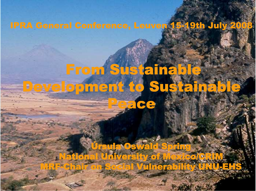#### **IPRA General Conference, Leuven 15-19th July 200**

### From Sustainable **Development to Sustainab** 3

**rsula Oswald Spring University of Mexico/GRI I Vulnerability UNU-EH** NEGR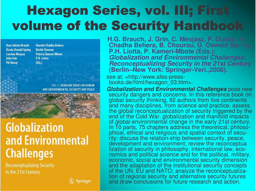## Hexagon Series, vol. III; First volume of the Security Handbook

**Hans Günter Brauch Ursula Oswald Spring Czesław Mesjasz** John Grin **Pál Dunav** 

Navnita Chadha Behera **Béchir Chourou** Patricia Kameri-Mbote P.H. Liotta  $(Eds.)$ 

AND ENVIRONMENTAL SECURITY AND PEACE



#### **Globalization** and Environmental **Challenges**

**Reconceptualizing Security** in the 21st Century

 $\mathcal{D}$  Springer

**H.G. Brauch, J. Grin, C. Mesjaşz, P. Duna 1.G. Brauch, J. Grin, C. Mesjasz, P.** Dunay, N.<br>**Chadha Behera, B. Chourou, Ú. Oswald S**prir Chadha Behera, B. Chourou, U. Oswald Spring, **P.H. Lio t t a, P. K a m e ri-M b o t e ( E d s.): Globalization and Environmental Challenges: Reconceptualizing Security in the 21st Century** (Berlin-New York: Springer-Verl.,2008).

see at: <http://www.afes-pressbooks.de/html/hexagon\_03.htm>.

**Globalization and Environmental Challenges pose new** security dangers and concerns. In this reference book on global security thinking, 92 authors from five continents and many disciplines, from science and practice, assess the global reconceptualization of security triggered by the end of the Cold War, globalization and manifold impacts of global environmental change in the early 21st century. In 10 parts, 75 chapters address the theoretical, philosophical, ethical and religious and spatial context of security; discuss the relation-ship between security, peace, development and environment; review the reconceptua lization of security in philosophy, international law, economics and political science and for the political, military, economic, social and environmental security dimension and the adaptation of the institutional security concepts of the UN, EU and NATO; analyze the reconceptualization of regional security and alternative security futures and draw conclusions for future research and action.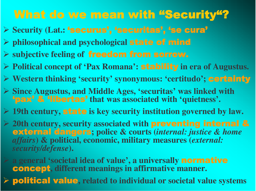#### What do we mean with "Security"?

- > Security (Lat.: 'securus', 'securitas', 'se cura'
- $\triangleright$  philosophical and psychological state of mind
- $\triangleright$  subjective feeling of **freedom from sorrow.**
- > Political concept of 'Pax Romana': stability in era of Augustus.
- $\triangleright$  Western thinking 'security' synonymous: 'certitudo'; certainty
- $\triangleright$  Since Augustus, and Middle Ages, 'securitas' was linked with "pax" & "libertas" that was associated with 'quietness'.
- $\triangleright$  19th century, state is key security institution governed by law.
- $\geq$  20th century, security associated with **preventing internal &** external dangers; police & courts (internal: justice & home *affairs*) & political, economic, military measures (external: security/defense).
- $\triangleright$  a general 'societal idea of value', a universally **normative concept**, different meanings in affirmative manner.
	- political value, related to individual or societal value systems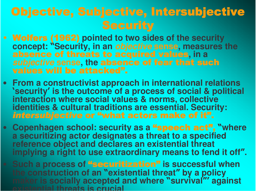#### Objective, Subjective, Intersubjective **Security**

- Wolfers (1962) pointed to two sides of the security concept: "Security, in an objective sense, measures the absence of threats to acquired values, in a subjective sense, the absence of fear that such values will be attacked".
- From a constructivist approach in international relations 'security' is the outcome of a process of social & political interaction where social values & norms, collective identities & cultural traditions are essential. Security: intersubjective or "what actors make of it".
- Copenhagen school: security as a "speech act", "where a securitizing actor designates a threat to a specified reference object and declares an existential threat implying a right to use extraordinary means to fend it off".
- Such a process of "securitization" is successful when the construction of an "existential threat" by a policy maker is socially accepted and where "survival" against existential threats is crucial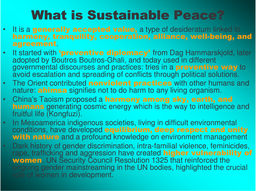### **What is Sustainable Peace?**

- It is a generally accepted value, a type of desideratum linked to harmony, tranquility, cooperation, alliance, well-being, and agreement.
- It started with **'preventive diplomacy'** from Dag Hammarskjold, later  $\bullet^\circ$ adopted by Boutros Boutros-Ghali, and today used in different governmental discourses and practices: tries in a preventive way to avoid escalation and spreading of conflicts through political solutions.
- The Orient contributed nonviolent practices with other humans and nature: **ahimsa** signifies not to do harm to any living organism.
- China's Taoism proposed a harmony among sky, earth, and **humans** generating cosmic energy which is the way to intelligence and fruitful life (Kongfuzi).
- In Mesoamerica indigenous societies, living in difficult environmental  $\bullet$ conditions, have developed equilibrium, deep respect and unity with nature and a profound knowledge on environment management
- Dark history of gender discrimination, intra-familial violence, feminicides, rape, trafficking and aggression have created higher vulnerability of women. UN Security Council Resolution 1325 that reinforced the ongoing gender mainstreaming in the UN bodies, highlighted the crucial role of women in development.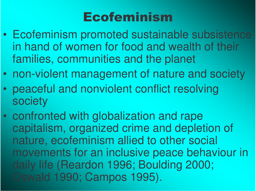### **Ecofeminism**

- Ecofeminism promoted sustainable subsistence in hand of women for food and wealth of their families, communities and the planet
- $\bullet$ non-violent management of nature and society
- $\bullet$  peaceful and nonviolent conflict resolving society
- $\bullet$ • confronted with globalization and rape capitalism, organized crime and depletion of nature, ecofeminism allied to other social movements for an inclusive peace behaviour in daily life (Reardon 1996; Boulding 2000; Oswald 1990; Campos 1995).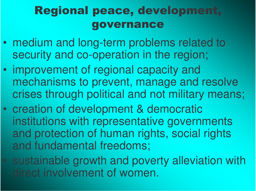#### Regional peace, development, governance

- medium and long-term problems related to security and co-operation in the region;
- $\bullet$  improvement of regional capacity and mechanisms to prevent, manage and resolve crises through political and not military means;
- $\bullet$  creation of development & democratic institutions with representative governments and protection of human rights, social rights and fundamental freedoms;
- sustainable growth and poverty alleviation with direct involvement of women.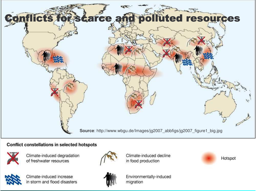

#### Conflict constellations in selected hotspots



Climate-induced degradation of freshwater resources



Climate-induced increase in storm and flood disasters



Climate-induced decline in food production



Environmentally-induced migration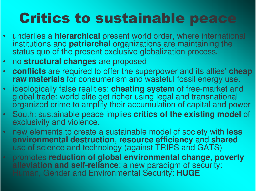## **Critics to sustainable peace**

- underlies a **hierarchical** present world order, where international institutions and **patriarchal** organizations are maintaining the status quo of the present exclusive globalization process.
- $\bullet$ no structural changes are proposed
- •**conflicts** are required to offer the superpower and its allies' **cheap** raw materials for consumerism and wasteful fossil energy use.
- ideologically false realities: cheating system of free-market and global trade: world elite get richer using legal and transnational organized crime to amplify their accumulation of capital and power
- South: sustainable peace implies critics of the existing model of exclusivity and violence.
- new elements to create a sustainable model of society with less environmental destruction, resource efficiency and shared use of science and technology (against TRIPS and GATS)
- promotes reduction of global environmental change, poverty **alleviation and self-reliance**: a new paradigm of security: Human, Gender and Environmental Security: HUGE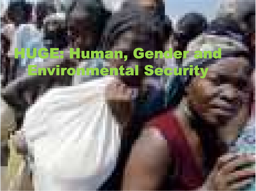# Human, Gend<br>Innental Sed ra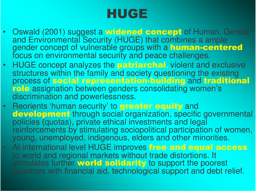### HUGE

- Oswald (2001) suggest a widened concept of Human, Gender and Environmental Security (HUGE) that combines a ample gender concept of vulnerable groups with a human-centered focus on environmental security and peace challenges.
- $\bullet$ HUGE concept analyzes the **patriarchal**, violent and exclusive structures within the family and society questioning the existing process of social representation-building and traditional role assignation between genders consolidating women's discrimination and powerlessness.
- •Reorients 'human security' to **greater equity** and development through social organization, specific governmental policies (quotas), private ethical investments and legal reinforcements by stimulating sociopolitical participation of women, young, unemployed, indigenous, elders and other minorities.
- At international level HUGE improves free and equal access to world and regional markets without trade distortions. It stimulates further world solidarity to support the poorest countries with financial aid, technological support and debt relief.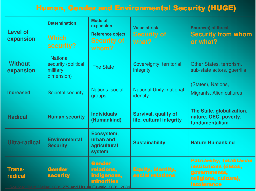#### Human, Gender and Environmental Security (HUGE)

| <b>Level of</b><br>expansion | <b>Determination</b><br><b>Which</b><br>security?                 | <b>Mode of</b><br>expansion<br><b>Reference object</b><br><b>Security of</b><br>whom?            | <b>Value at risk</b><br><b>Security of</b><br>what?     | Source(s) of threat<br><b>Security from whom</b><br>or what?                                                           |
|------------------------------|-------------------------------------------------------------------|--------------------------------------------------------------------------------------------------|---------------------------------------------------------|------------------------------------------------------------------------------------------------------------------------|
| <b>Without</b><br>expansion  | <b>National</b><br>security (political,<br>military<br>dimension) | <b>The State</b>                                                                                 | Sovereignty, territorial<br><i>integrity</i>            | Other States, terrorism,<br>sub-state actors, guerrilla                                                                |
| <b>Increased</b>             | Societal security                                                 | Nations, social<br>groups                                                                        | National Unity, national<br>identity                    | (States), Nations,<br>Migrants, Alien cultures                                                                         |
| <b>Radical</b>               | <b>Human security</b>                                             | <b>Individuals</b><br>(Humankind)                                                                | <b>Survival, quality of</b><br>life, cultural integrity | The State, globalization,<br>nature, GEC, poverty,<br>fundamentalism                                                   |
| <b>Ultra-radical</b>         | <b>Environmental</b><br><b>Security</b>                           | Ecosystem,<br>urban and<br>agricultural<br>system                                                | <b>Sustainability</b>                                   | <b>Nature Humankind</b>                                                                                                |
| <b>Trans-</b><br>radical     | <b>Gender</b><br><b>security</b>                                  | <b>Gender</b><br>relations,<br>indigenous,<br>minorities<br>2002:270 and Uraula Qawald 2001 2004 | <b>Equity, identity,</b><br>social relations            | <b>Patriarchy, totalitarian</b><br>institutions (élites,<br>governments,<br>religions, culture),<br><b>intolerance</b> |

Bjørn Møller, 2003:279 and Úrsula Oswald, 2001, <sup>2004</sup>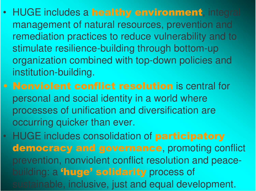- HUGE includes a healthy environment, integral management of natural resources, prevention and remediation practices to reduce vulnerability and to stimulate resilience-building through bottom-up organization combined with top-down policies and institution-building.
- Nonviolent conflict resolution is central for personal and social identity in <sup>a</sup> world where processes of unification and diversification are occurring quicker than ever.
- •• HUGE includes consolidation of **participatory** democracy and governance, promoting conflict prevention, nonviolent conflict resolution and peacebuilding: a <sup>f</sup>huge' solidarity process of sustainable, inclusive, just and equal development.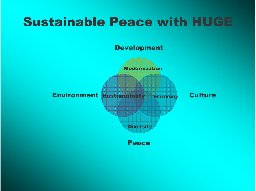### **Sustainable Peace with HUGE**

**Development** 

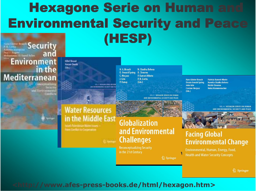#### **Hexagone Serie on Human an Environmental Security and Peace** (HESP) **Security**

J. Grin

**Hilled Ground Basics Swell** 1163

Mediterranean **Decision** and the troubund.

in the

**Article Legacion Company** 

**Environment** 

**COLLECTIONS OF GENERAL PROPERTY** raceament in received

H. G. Brauch N. Chadha Behera Ú. Oswald Spring B. Chourou C. Mesiasz P. Kameri-Mbote P.H. Liotta P. Dunav  $(Eds.)$ 

**Hans Günter Brauch** Úrsula Oswald Spring **John Grin Czesław Mesjasz**  $(Eds.)$ 

**Patricia Kameri-Mbote** Navnita Chadha Behera **Béchir Chourou Heinz Krummenacher** 

> **VOL 4 / HEXAGON SERIES ON HUMAN** AND ENVIRONMENTAL SECURITY AND REACH

#### **Water Resources** in the Middle East

**Focust-Patentinitian Water Hours** From Center to Cooperation

#### **Globalization** and Environmental **Challenges**

**Reconceptualizing Security** in the 21st Century

**Facing Global Environmental Change** 

Environmental, Human, Energy, Food, **Health and Water Security Concepts** 

2 Springer

**VOL 3 / HEXAGON SERIES ON HUMAN** AND ENVIRONMENTAL SECURITY AND PEA

2 Springer

#### <http://www.afes-press-books.de/html/hexagon.htm>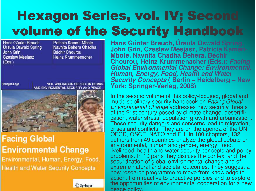## Hexagon Series, vol. IV; Second volume of the Security Handbook

Hans Günter Brauch Úrsula Oswald Spring John Grin **Czeslaw Mesjasz**  $(Eds.)$ 

Patricia Kameri-Mbote Navnita Behera Chadha Béchir Chourou Heinz Krummenacher

**Hexagon Logo** 

**VOL. 4/HEXAGON SERIES ON HUMAN** AND ENVIROMENTAL SECURITY AND PEACE



#### **Facing Global Environmental Change**

Environmental, Human, Energy, Food, **Health and Water Security Concepts** 



Hans Günter Brauch, Úrsula Oswald Spring, John Grin, Czeslaw Mesjasz, Patricia Kameri-**Mbote, Navnita Chadha Behera, Béchir** Chourou, Heinz Krummenacher (Eds.): Facing **Global Environmental Change: Environmental,** *Human, Energy, Food, Health and Water* **Security Concepts (Berlin - Heidelberg - New** York: Springer-Verlag, 2008)

In the second volume of this policy-focused, global and multidisciplinary security handbook on Facing Global *Environmental Change* addresses new security threats of the 21st century posed by climate change, desertification, water stress, population growth and urbanization. These security dangers and concerns lead to migration, crises and conflicts. They are on the agenda of the UN, OECD, OSCE, NATO and EU. In 100 chapters, 132 authors from 49 countries analyze the global debate on environmental, human and gender, energy, food, livelihood, health and water security concepts and policy problems. In 10 parts they discuss the context and the securitization of global environmental change and of extreme natural and societal outcomes. They suggest a new research programme to move from knowledge to action, from reactive to proactive policies and to explore the opportunities of environmental cooperation for a new peace policy.